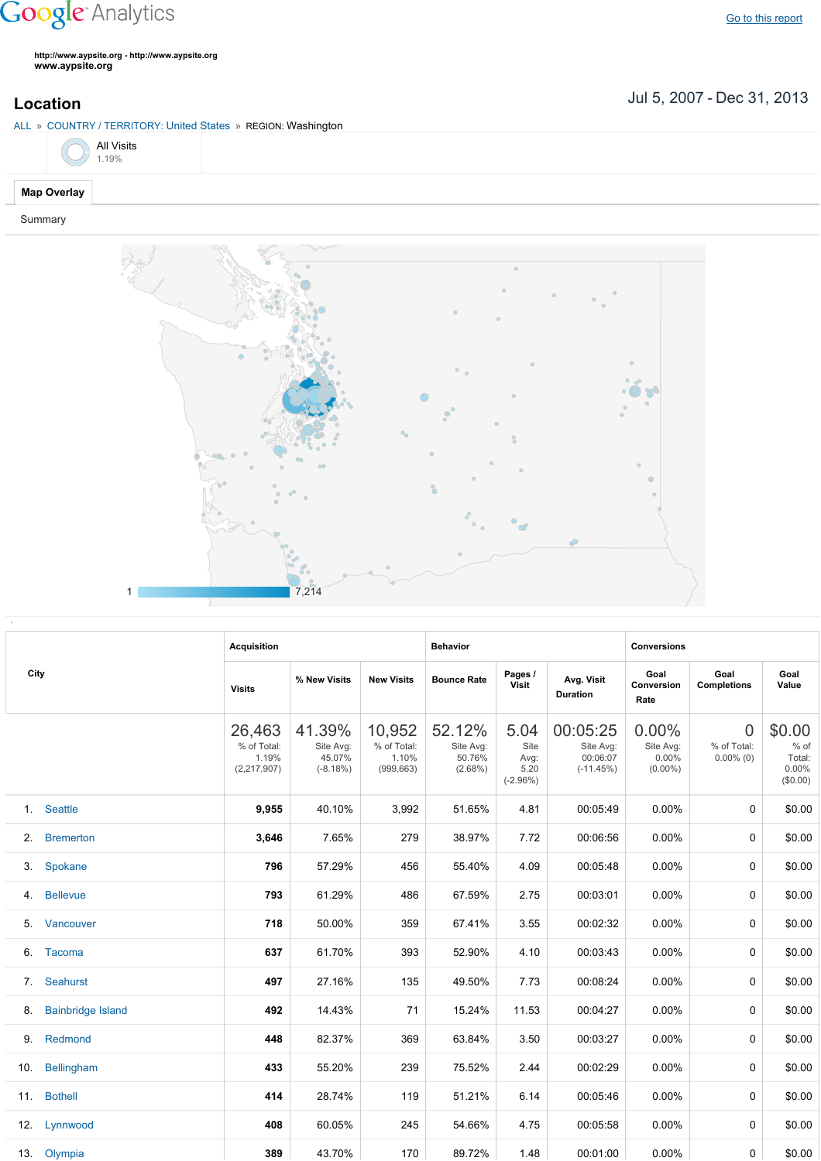## **Google** Analytics

Go to this [report](https://www.google.com/analytics/web/?utm_source=pdfReportLink#report/visitors-geo/a2184169w3912412p4016214/%3F_u.date00%3D20070705%26_u.date01%3D20131231%26geo-table.plotKeys%3D%5B%5D%26geo-table.rowStart%3D0%26geo-table.rowCount%3D1000%26_r.drilldown%3Danalytics.country%3AUS%2Canalytics.region%3A21180/)

**http://www.aypsite.org http://www.aypsite.org www.aypsite.org**

Jul 5, 2007 Dec 31, 2013 **Location**

ALL » COUNTRY / TERRITORY: United States » REGION: Washington



## **Map Overlay**

Summary



|      |                          | <b>Acquisition</b>                            |                                             |                                              | <b>Behavior</b>                             |                                            |                                                  | <b>Conversions</b>                           |                                               |                                                 |  |
|------|--------------------------|-----------------------------------------------|---------------------------------------------|----------------------------------------------|---------------------------------------------|--------------------------------------------|--------------------------------------------------|----------------------------------------------|-----------------------------------------------|-------------------------------------------------|--|
| City |                          | <b>Visits</b>                                 | % New Visits                                | <b>New Visits</b>                            | <b>Bounce Rate</b>                          | Pages /<br><b>Visit</b>                    | Avg. Visit<br><b>Duration</b>                    | Goal<br>Conversion<br>Rate                   | Goal<br><b>Completions</b>                    | Goal<br>Value                                   |  |
|      |                          | 26,463<br>% of Total:<br>1.19%<br>(2,217,907) | 41.39%<br>Site Avg:<br>45.07%<br>$(-8.18%)$ | 10,952<br>% of Total:<br>1.10%<br>(999, 663) | 52.12%<br>Site Avg:<br>50.76%<br>$(2.68\%)$ | 5.04<br>Site<br>Avg:<br>5.20<br>$(-2.96%)$ | 00:05:25<br>Site Avg:<br>00:06:07<br>$(-11.45%)$ | $0.00\%$<br>Site Avg:<br>0.00%<br>$(0.00\%)$ | $\overline{0}$<br>% of Total:<br>$0.00\%$ (0) | \$0.00<br>$%$ of<br>Total:<br>0.00%<br>(\$0.00) |  |
|      | 1. Seattle               | 9,955                                         | 40.10%                                      | 3,992                                        | 51.65%                                      | 4.81                                       | 00:05:49                                         | $0.00\%$                                     | $\Omega$                                      | \$0.00                                          |  |
| 2.   | <b>Bremerton</b>         | 3,646                                         | 7.65%                                       | 279                                          | 38.97%                                      | 7.72                                       | 00:06:56                                         | 0.00%                                        | 0                                             | \$0.00                                          |  |
| 3.   | Spokane                  | 796                                           | 57.29%                                      | 456                                          | 55.40%                                      | 4.09                                       | 00:05:48                                         | 0.00%                                        | 0                                             | \$0.00                                          |  |
| 4.   | <b>Bellevue</b>          | 793                                           | 61.29%                                      | 486                                          | 67.59%                                      | 2.75                                       | 00:03:01                                         | 0.00%                                        | 0                                             | \$0.00                                          |  |
| 5.   | Vancouver                | 718                                           | 50.00%                                      | 359                                          | 67.41%                                      | 3.55                                       | 00:02:32                                         | 0.00%                                        | $\Omega$                                      | \$0.00                                          |  |
| 6.   | <b>Tacoma</b>            | 637                                           | 61.70%                                      | 393                                          | 52.90%                                      | 4.10                                       | 00:03:43                                         | 0.00%                                        | $\Omega$                                      | \$0.00                                          |  |
| 7.   | Seahurst                 | 497                                           | 27.16%                                      | 135                                          | 49.50%                                      | 7.73                                       | 00:08:24                                         | $0.00\%$                                     | 0                                             | \$0.00                                          |  |
| 8.   | <b>Bainbridge Island</b> | 492                                           | 14.43%                                      | 71                                           | 15.24%                                      | 11.53                                      | 00:04:27                                         | $0.00\%$                                     | 0                                             | \$0.00                                          |  |
| 9.   | Redmond                  | 448                                           | 82.37%                                      | 369                                          | 63.84%                                      | 3.50                                       | 00:03:27                                         | $0.00\%$                                     | 0                                             | \$0.00                                          |  |
| 10.  | Bellingham               | 433                                           | 55.20%                                      | 239                                          | 75.52%                                      | 2.44                                       | 00:02:29                                         | $0.00\%$                                     | $\Omega$                                      | \$0.00                                          |  |
| 11.  | <b>Bothell</b>           | 414                                           | 28.74%                                      | 119                                          | 51.21%                                      | 6.14                                       | 00:05:46                                         | $0.00\%$                                     | $\Omega$                                      | \$0.00                                          |  |
| 12.  | Lynnwood                 | 408                                           | 60.05%                                      | 245                                          | 54.66%                                      | 4.75                                       | 00:05:58                                         | 0.00%                                        | 0                                             | \$0.00                                          |  |
|      | 13. Olympia              | 389                                           | 43.70%                                      | 170                                          | 89.72%                                      | 1.48                                       | 00:01:00                                         | $0.00\%$                                     | 0                                             | \$0.00                                          |  |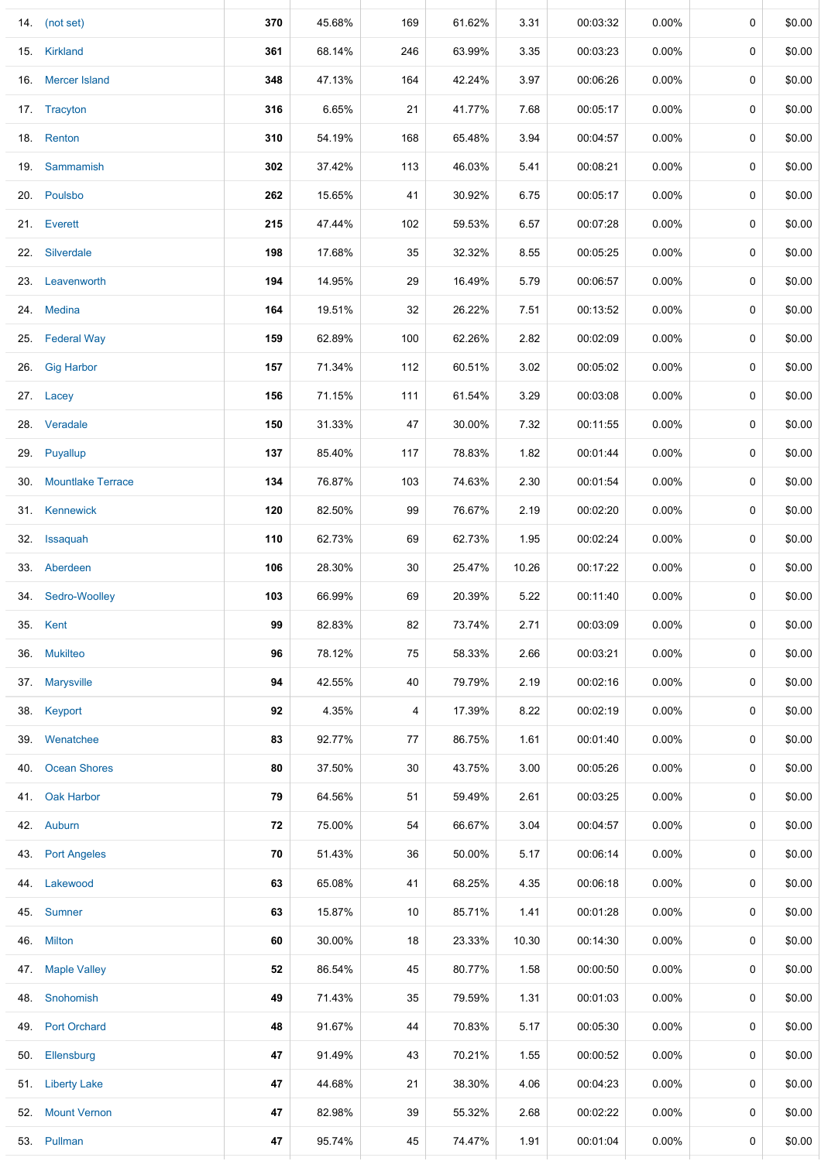|     | 14. (not set)         | 370 | 45.68% | 169 | 61.62% | 3.31  | 00:03:32 | 0.00%    | 0 | \$0.00 |
|-----|-----------------------|-----|--------|-----|--------|-------|----------|----------|---|--------|
|     | 15. Kirkland          | 361 | 68.14% | 246 | 63.99% | 3.35  | 00:03:23 | $0.00\%$ | 0 | \$0.00 |
| 16. | <b>Mercer Island</b>  | 348 | 47.13% | 164 | 42.24% | 3.97  | 00:06:26 | $0.00\%$ | 0 | \$0.00 |
|     | 17. Tracyton          | 316 | 6.65%  | 21  | 41.77% | 7.68  | 00:05:17 | $0.00\%$ | 0 | \$0.00 |
|     | 18. Renton            | 310 | 54.19% | 168 | 65.48% | 3.94  | 00:04:57 | $0.00\%$ | 0 | \$0.00 |
|     | 19. Sammamish         | 302 | 37.42% | 113 | 46.03% | 5.41  | 00:08:21 | 0.00%    | 0 | \$0.00 |
|     | 20. Poulsbo           | 262 | 15.65% | 41  | 30.92% | 6.75  | 00:05:17 | $0.00\%$ | 0 | \$0.00 |
|     | 21. Everett           | 215 | 47.44% | 102 | 59.53% | 6.57  | 00:07:28 | $0.00\%$ | 0 | \$0.00 |
|     | 22. Silverdale        | 198 | 17.68% | 35  | 32.32% | 8.55  | 00:05:25 | $0.00\%$ | 0 | \$0.00 |
|     | 23. Leavenworth       | 194 | 14.95% | 29  | 16.49% | 5.79  | 00:06:57 | $0.00\%$ | 0 | \$0.00 |
|     | 24. Medina            | 164 | 19.51% | 32  | 26.22% | 7.51  | 00:13:52 | $0.00\%$ | 0 | \$0.00 |
|     | 25. Federal Way       | 159 | 62.89% | 100 | 62.26% | 2.82  | 00:02:09 | $0.00\%$ | 0 | \$0.00 |
|     | 26. Gig Harbor        | 157 | 71.34% | 112 | 60.51% | 3.02  | 00:05:02 | $0.00\%$ | 0 | \$0.00 |
|     | 27. Lacey             | 156 | 71.15% | 111 | 61.54% | 3.29  | 00:03:08 | $0.00\%$ | 0 | \$0.00 |
|     | 28. Veradale          | 150 | 31.33% | 47  | 30.00% | 7.32  | 00:11:55 | $0.00\%$ | 0 | \$0.00 |
|     | 29. Puyallup          | 137 | 85.40% | 117 | 78.83% | 1.82  | 00:01:44 | $0.00\%$ | 0 | \$0.00 |
|     | 30. Mountlake Terrace | 134 | 76.87% | 103 | 74.63% | 2.30  | 00:01:54 | $0.00\%$ | 0 | \$0.00 |
|     | 31. Kennewick         | 120 | 82.50% | 99  | 76.67% | 2.19  | 00:02:20 | $0.00\%$ | 0 | \$0.00 |
|     | 32. Issaquah          | 110 | 62.73% | 69  | 62.73% | 1.95  | 00:02:24 | $0.00\%$ | 0 | \$0.00 |
|     | 33. Aberdeen          | 106 | 28.30% | 30  | 25.47% | 10.26 | 00:17:22 | $0.00\%$ | 0 | \$0.00 |
|     | 34. Sedro-Woolley     | 103 | 66.99% | 69  | 20.39% | 5.22  | 00:11:40 | $0.00\%$ | 0 | \$0.00 |
|     | 35. Kent              | 99  | 82.83% | 82  | 73.74% | 2.71  | 00:03:09 | $0.00\%$ | 0 | \$0.00 |
|     | 36. Mukilteo          | 96  | 78.12% | 75  | 58.33% | 2.66  | 00:03:21 | $0.00\%$ | 0 | \$0.00 |
|     | 37. Marysville        | 94  | 42.55% | 40  | 79.79% | 2.19  | 00:02:16 | $0.00\%$ | 0 | \$0.00 |
|     | 38. Keyport           | 92  | 4.35%  | 4   | 17.39% | 8.22  | 00:02:19 | $0.00\%$ | 0 | \$0.00 |
|     | 39. Wenatchee         | 83  | 92.77% | 77  | 86.75% | 1.61  | 00:01:40 | $0.00\%$ | 0 | \$0.00 |
|     | 40. Ocean Shores      | 80  | 37.50% | 30  | 43.75% | 3.00  | 00:05:26 | $0.00\%$ | 0 | \$0.00 |
|     | 41. Oak Harbor        | 79  | 64.56% | 51  | 59.49% | 2.61  | 00:03:25 | $0.00\%$ | 0 | \$0.00 |
|     | 42. Auburn            | 72  | 75.00% | 54  | 66.67% | 3.04  | 00:04:57 | $0.00\%$ | 0 | \$0.00 |
|     | 43. Port Angeles      | 70  | 51.43% | 36  | 50.00% | 5.17  | 00:06:14 | $0.00\%$ | 0 | \$0.00 |
|     | 44. Lakewood          | 63  | 65.08% | 41  | 68.25% | 4.35  | 00:06:18 | $0.00\%$ | 0 | \$0.00 |
|     | 45. Sumner            | 63  | 15.87% | 10  | 85.71% | 1.41  | 00:01:28 | $0.00\%$ | 0 | \$0.00 |
|     | 46. Milton            | 60  | 30.00% | 18  | 23.33% | 10.30 | 00:14:30 | $0.00\%$ | 0 | \$0.00 |
|     | 47. Maple Valley      | 52  | 86.54% | 45  | 80.77% | 1.58  | 00:00:50 | $0.00\%$ | 0 | \$0.00 |
| 48. | Snohomish             | 49  | 71.43% | 35  | 79.59% | 1.31  | 00:01:03 | $0.00\%$ | 0 | \$0.00 |
|     | 49. Port Orchard      | 48  | 91.67% | 44  | 70.83% | 5.17  | 00:05:30 | $0.00\%$ | 0 | \$0.00 |
|     | 50. Ellensburg        | 47  | 91.49% | 43  | 70.21% | 1.55  | 00:00:52 | $0.00\%$ | 0 | \$0.00 |
|     | 51. Liberty Lake      | 47  | 44.68% | 21  | 38.30% | 4.06  | 00:04:23 | $0.00\%$ | 0 | \$0.00 |
|     | 52. Mount Vernon      | 47  | 82.98% | 39  | 55.32% | 2.68  | 00:02:22 | $0.00\%$ | 0 | \$0.00 |
|     | 53. Pullman           | 47  | 95.74% | 45  | 74.47% | 1.91  | 00:01:04 | $0.00\%$ | 0 | \$0.00 |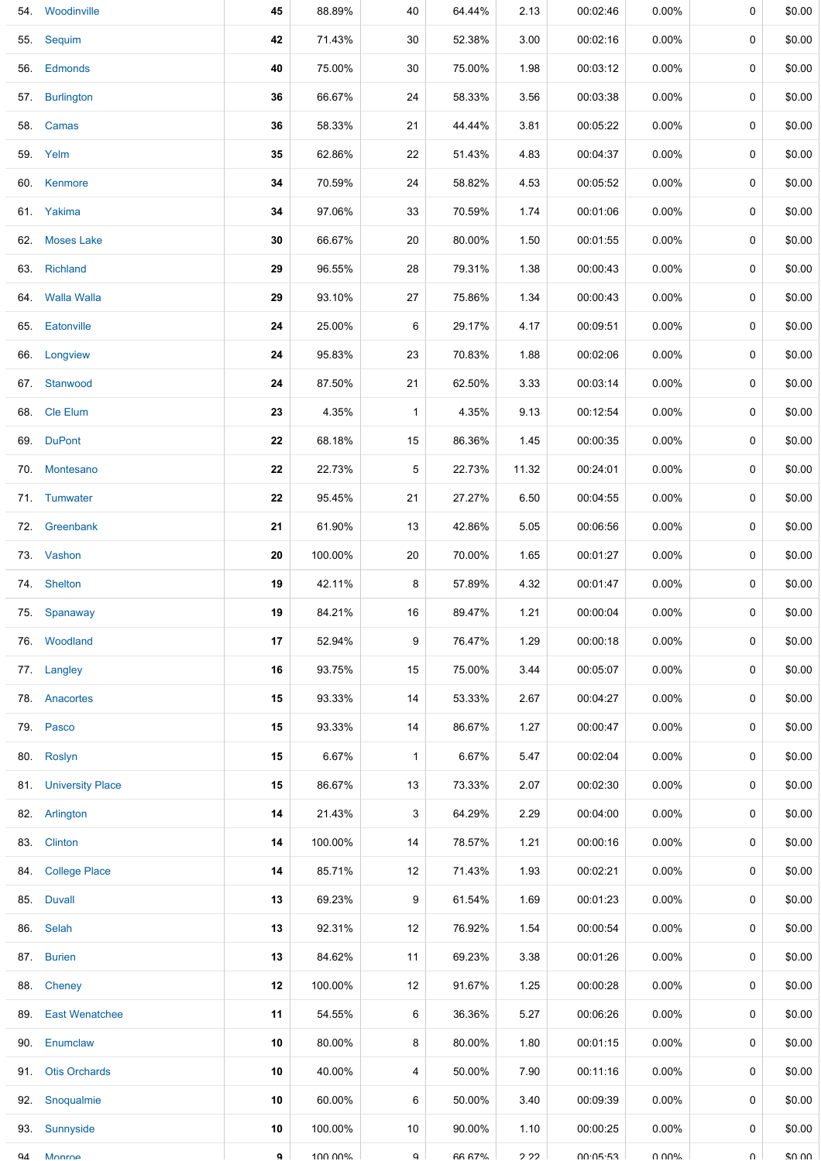| 54. | Woodinville          | 45 | 88.89%  | 40           | 64.44%        | 2.13  | 00:02:46 | 0.00%    | 0      | \$0.00 |
|-----|----------------------|----|---------|--------------|---------------|-------|----------|----------|--------|--------|
|     | 55. Sequim           | 42 | 71.43%  | 30           | 52.38%        | 3.00  | 00:02:16 | $0.00\%$ | 0      | \$0.00 |
|     | 56. Edmonds          | 40 | 75.00%  | 30           | 75.00%        | 1.98  | 00:03:12 | $0.00\%$ | 0      | \$0.00 |
|     | 57. Burlington       | 36 | 66.67%  | 24           | 58.33%        | 3.56  | 00:03:38 | $0.00\%$ | 0      | \$0.00 |
|     | 58. Camas            | 36 | 58.33%  | 21           | 44.44%        | 3.81  | 00:05:22 | $0.00\%$ | 0      | \$0.00 |
|     | 59. Yelm             | 35 | 62.86%  | 22           | 51.43%        | 4.83  | 00:04:37 | $0.00\%$ | 0      | \$0.00 |
|     | 60. Kenmore          | 34 | 70.59%  | 24           | 58.82%        | 4.53  | 00:05:52 | $0.00\%$ | 0      | \$0.00 |
|     | 61. Yakima           | 34 | 97.06%  | 33           | 70.59%        | 1.74  | 00:01:06 | $0.00\%$ | 0      | \$0.00 |
|     | 62. Moses Lake       | 30 | 66.67%  | 20           | 80.00%        | 1.50  | 00:01:55 | $0.00\%$ | 0      | \$0.00 |
|     | 63. Richland         | 29 | 96.55%  | 28           | 79.31%        | 1.38  | 00:00:43 | $0.00\%$ | 0      | \$0.00 |
|     | 64. Walla Walla      | 29 | 93.10%  | 27           | 75.86%        | 1.34  | 00:00:43 | $0.00\%$ | 0      | \$0.00 |
|     | 65. Eatonville       | 24 | 25.00%  | 6            | 29.17%        | 4.17  | 00:09:51 | $0.00\%$ | 0      | \$0.00 |
|     | 66. Longview         | 24 | 95.83%  | 23           | 70.83%        | 1.88  | 00:02:06 | $0.00\%$ | 0      | \$0.00 |
|     | 67. Stanwood         | 24 | 87.50%  | 21           | 62.50%        | 3.33  | 00:03:14 | $0.00\%$ | 0      | \$0.00 |
|     | 68. Cle Elum         | 23 | 4.35%   | $\mathbf{1}$ | 4.35%         | 9.13  | 00:12:54 | $0.00\%$ | 0      | \$0.00 |
|     | 69. DuPont           | 22 | 68.18%  | 15           | 86.36%        | 1.45  | 00:00:35 | $0.00\%$ | 0      | \$0.00 |
|     | 70. Montesano        | 22 | 22.73%  | 5            | 22.73%        | 11.32 | 00:24:01 | $0.00\%$ | 0      | \$0.00 |
|     | 71. Tumwater         | 22 | 95.45%  | 21           | 27.27%        | 6.50  | 00:04:55 | $0.00\%$ | 0      | \$0.00 |
|     | 72. Greenbank        | 21 | 61.90%  | 13           | 42.86%        | 5.05  | 00:06:56 | $0.00\%$ | 0      | \$0.00 |
|     | 73. Vashon           | 20 | 100.00% | 20           | 70.00%        | 1.65  | 00:01:27 | $0.00\%$ | 0      | \$0.00 |
|     | 74. Shelton          | 19 | 42.11%  | 8            | 57.89%        | 4.32  | 00:01:47 | $0.00\%$ | 0      | \$0.00 |
|     | 75. Spanaway         | 19 | 84.21%  | 16           | 89.47%        | 1.21  | 00:00:04 | $0.00\%$ | 0      | \$0.00 |
|     | 76. Woodland         | 17 | 52.94%  | 9            | 76.47%        | 1.29  | 00:00:18 | $0.00\%$ | 0      | \$0.00 |
|     | 77. Langley          | 16 | 93.75%  | 15           | 75.00%        | 3.44  | 00:05:07 | $0.00\%$ | 0      | \$0.00 |
| 78. | Anacortes            | 15 | 93.33%  | 14           | 53.33%        | 2.67  | 00:04:27 | $0.00\%$ | 0      | \$0.00 |
|     | 79. Pasco            | 15 | 93.33%  | 14           | 86.67%        | 1.27  | 00:00:47 | $0.00\%$ | 0      | \$0.00 |
|     | 80. Roslyn           | 15 | 6.67%   | $\mathbf{1}$ | 6.67%         | 5.47  | 00:02:04 | $0.00\%$ | 0      | \$0.00 |
|     | 81. University Place | 15 | 86.67%  | 13           | 73.33%        | 2.07  | 00:02:30 | $0.00\%$ | 0      | \$0.00 |
|     | 82. Arlington        | 14 | 21.43%  | 3            | 64.29%        | 2.29  | 00:04:00 | $0.00\%$ | 0      | \$0.00 |
|     | 83. Clinton          | 14 | 100.00% | 14           | 78.57%        | 1.21  | 00:00:16 | $0.00\%$ | 0      | \$0.00 |
|     | 84. College Place    | 14 | 85.71%  | 12           | 71.43%        | 1.93  | 00:02:21 | $0.00\%$ | 0      | \$0.00 |
|     | 85. Duvall           | 13 | 69.23%  | 9            | 61.54%        | 1.69  | 00:01:23 | $0.00\%$ | 0      | \$0.00 |
|     | 86. Selah            | 13 | 92.31%  | 12           | 76.92%        | 1.54  | 00:00:54 | $0.00\%$ | 0      | \$0.00 |
|     | 87. Burien           | 13 | 84.62%  | 11           | 69.23%        | 3.38  | 00:01:26 | $0.00\%$ | 0      | \$0.00 |
|     | 88. Cheney           | 12 | 100.00% | 12           | 91.67%        | 1.25  | 00:00:28 | $0.00\%$ | 0      | \$0.00 |
|     | 89. East Wenatchee   | 11 | 54.55%  | 6            | 36.36%        | 5.27  | 00:06:26 | $0.00\%$ | 0      | \$0.00 |
|     | 90. Enumclaw         | 10 | 80.00%  | 8            | 80.00%        | 1.80  | 00:01:15 | $0.00\%$ | 0      | \$0.00 |
| 91. | <b>Otis Orchards</b> | 10 | 40.00%  | 4            | 50.00%        | 7.90  | 00:11:16 | $0.00\%$ | 0      | \$0.00 |
|     | 92. Snoqualmie       | 10 | 60.00%  | 6            | 50.00%        | 3.40  | 00:09:39 | $0.00\%$ | 0      | \$0.00 |
| 93. | Sunnyside            | 10 | 100.00% | 10           | 90.00%        | 1.10  | 00:00:25 | $0.00\%$ | 0      | \$0.00 |
| QΔ  | Monroe               | ۹  | 100.00% | $\alpha$     | <b>66 67%</b> | 2 22  | 00.05.53 | ህ ሀሀላ"   | $\cap$ | \$0.00 |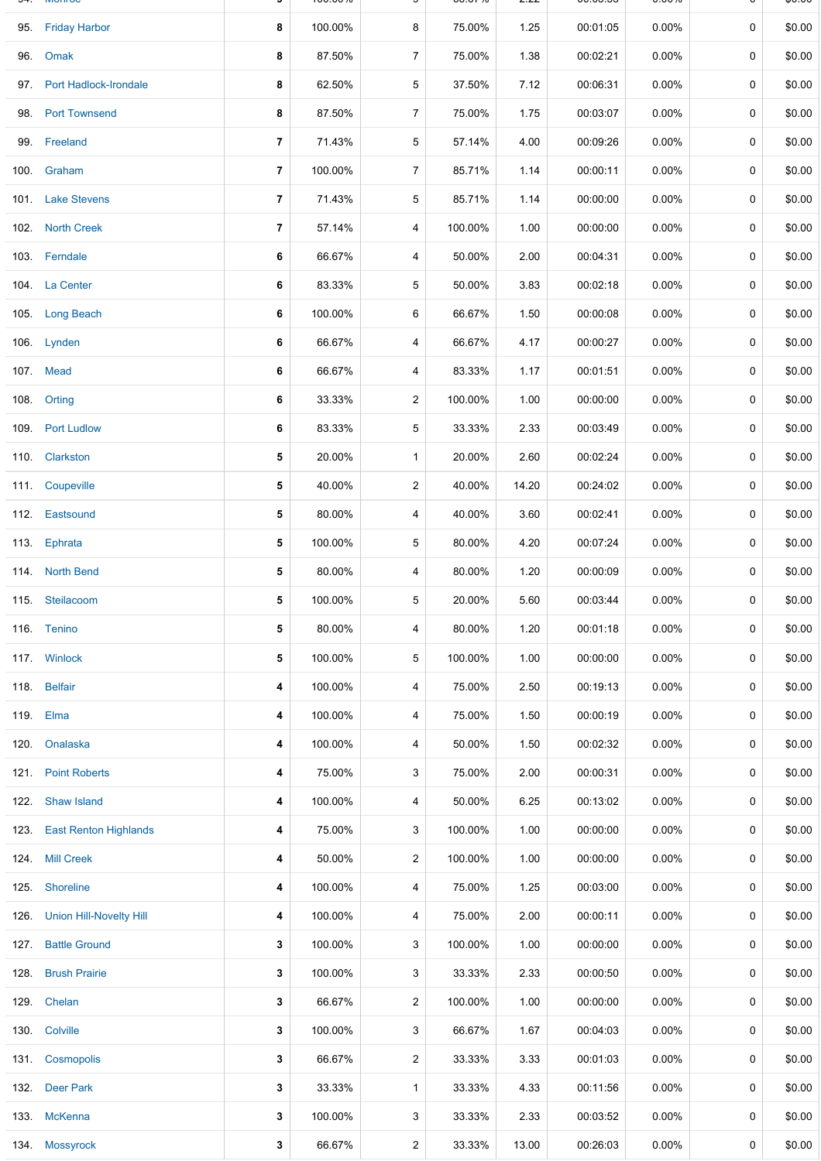|      | 95. Friday Harbor              | 8              | 100.00% | 8              | 75.00%  | 1.25  | 00:01:05 | $0.00\%$ | 0           | \$0.00 |
|------|--------------------------------|----------------|---------|----------------|---------|-------|----------|----------|-------------|--------|
| 96.  | Omak                           | 8              | 87.50%  | $\overline{7}$ | 75.00%  | 1.38  | 00:02:21 | $0.00\%$ | 0           | \$0.00 |
|      | 97. Port Hadlock-Irondale      | 8              | 62.50%  | 5              | 37.50%  | 7.12  | 00:06:31 | $0.00\%$ | 0           | \$0.00 |
| 98.  | <b>Port Townsend</b>           | 8              | 87.50%  | $\overline{7}$ | 75.00%  | 1.75  | 00:03:07 | $0.00\%$ | 0           | \$0.00 |
|      | 99. Freeland                   | 7              | 71.43%  | 5              | 57.14%  | 4.00  | 00:09:26 | $0.00\%$ | 0           | \$0.00 |
| 100. | Graham                         | $\overline{7}$ | 100.00% | 7              | 85.71%  | 1.14  | 00:00:11 | 0.00%    | 0           | \$0.00 |
|      | 101. Lake Stevens              | 7              | 71.43%  | 5              | 85.71%  | 1.14  | 00:00:00 | 0.00%    | 0           | \$0.00 |
|      | 102. North Creek               | $\overline{7}$ | 57.14%  | 4              | 100.00% | 1.00  | 00:00:00 | 0.00%    | 0           | \$0.00 |
|      | 103. Ferndale                  | 6              | 66.67%  | 4              | 50.00%  | 2.00  | 00:04:31 | 0.00%    | 0           | \$0.00 |
|      | 104. La Center                 | 6              | 83.33%  | 5              | 50.00%  | 3.83  | 00:02:18 | 0.00%    | 0           | \$0.00 |
|      | 105. Long Beach                | 6              | 100.00% | 6              | 66.67%  | 1.50  | 00:00:08 | 0.00%    | 0           | \$0.00 |
|      | 106. Lynden                    | 6              | 66.67%  | 4              | 66.67%  | 4.17  | 00:00:27 | $0.00\%$ | 0           | \$0.00 |
|      | 107. Mead                      | 6              | 66.67%  | 4              | 83.33%  | 1.17  | 00:01:51 | $0.00\%$ | 0           | \$0.00 |
|      | 108. Orting                    | 6              | 33.33%  | 2              | 100.00% | 1.00  | 00:00:00 | 0.00%    | 0           | \$0.00 |
|      | 109. Port Ludlow               | 6              | 83.33%  | 5              | 33.33%  | 2.33  | 00:03:49 | $0.00\%$ | 0           | \$0.00 |
|      | 110. Clarkston                 | 5              | 20.00%  | $\mathbf{1}$   | 20.00%  | 2.60  | 00:02:24 | $0.00\%$ | 0           | \$0.00 |
|      | 111. Coupeville                | 5              | 40.00%  | $\overline{c}$ | 40.00%  | 14.20 | 00:24:02 | $0.00\%$ | 0           | \$0.00 |
|      | 112. Eastsound                 | 5              | 80.00%  | 4              | 40.00%  | 3.60  | 00:02:41 | $0.00\%$ | 0           | \$0.00 |
|      | 113. Ephrata                   | 5              | 100.00% | 5              | 80.00%  | 4.20  | 00:07:24 | $0.00\%$ | 0           | \$0.00 |
|      | 114. North Bend                | 5              | 80.00%  | 4              | 80.00%  | 1.20  | 00:00:09 | $0.00\%$ | 0           | \$0.00 |
|      | 115. Steilacoom                | 5              | 100.00% | 5              | 20.00%  | 5.60  | 00:03:44 | $0.00\%$ | 0           | \$0.00 |
|      | 116. Tenino                    | 5              | 80.00%  | 4              | 80.00%  | 1.20  | 00:01:18 | $0.00\%$ | 0           | \$0.00 |
|      | 117. Winlock                   | 5              | 100.00% | 5              | 100.00% | 1.00  | 00:00:00 | $0.00\%$ | $\mathbf 0$ | \$0.00 |
|      | 118. Belfair                   | 4              | 100.00% | 4              | 75.00%  | 2.50  | 00:19:13 | $0.00\%$ | 0           | \$0.00 |
|      | 119. Elma                      | 4              | 100.00% | 4              | 75.00%  | 1.50  | 00:00:19 | $0.00\%$ | 0           | \$0.00 |
|      | 120. Onalaska                  | 4              | 100.00% | 4              | 50.00%  | 1.50  | 00:02:32 | $0.00\%$ | 0           | \$0.00 |
|      | 121. Point Roberts             | 4              | 75.00%  | 3              | 75.00%  | 2.00  | 00:00:31 | $0.00\%$ | 0           | \$0.00 |
| 122. | <b>Shaw Island</b>             | 4              | 100.00% | 4              | 50.00%  | 6.25  | 00:13:02 | $0.00\%$ | 0           | \$0.00 |
| 123. | <b>East Renton Highlands</b>   | 4              | 75.00%  | 3              | 100.00% | 1.00  | 00:00:00 | $0.00\%$ | 0           | \$0.00 |
| 124. | <b>Mill Creek</b>              | 4              | 50.00%  | $\overline{c}$ | 100.00% | 1.00  | 00:00:00 | $0.00\%$ | 0           | \$0.00 |
|      | 125. Shoreline                 | 4              | 100.00% | 4              | 75.00%  | 1.25  | 00:03:00 | $0.00\%$ | 0           | \$0.00 |
| 126. | <b>Union Hill-Novelty Hill</b> | 4              | 100.00% | 4              | 75.00%  | 2.00  | 00:00:11 | $0.00\%$ | 0           | \$0.00 |
| 127. | <b>Battle Ground</b>           | 3              | 100.00% | 3              | 100.00% | 1.00  | 00:00:00 | $0.00\%$ | 0           | \$0.00 |
| 128. | <b>Brush Prairie</b>           | 3              | 100.00% | 3              | 33.33%  | 2.33  | 00:00:50 | $0.00\%$ | 0           | \$0.00 |
|      | 129. Chelan                    | 3              | 66.67%  | $\overline{c}$ | 100.00% | 1.00  | 00:00:00 | $0.00\%$ | 0           | \$0.00 |
| 130. | Colville                       | 3              | 100.00% | 3              | 66.67%  | 1.67  | 00:04:03 | $0.00\%$ | 0           | \$0.00 |
| 131. | Cosmopolis                     | 3              | 66.67%  | 2              | 33.33%  | 3.33  | 00:01:03 | $0.00\%$ | 0           | \$0.00 |
| 132. | <b>Deer Park</b>               | 3              | 33.33%  | $\mathbf{1}$   | 33.33%  | 4.33  | 00:11:56 | $0.00\%$ | 0           | \$0.00 |
| 133. | <b>McKenna</b>                 | 3              | 100.00% | 3              | 33.33%  | 2.33  | 00:03:52 | $0.00\%$ | 0           | \$0.00 |
| 134. | <b>Mossyrock</b>               | 3              | 66.67%  | 2              | 33.33%  | 13.00 | 00:26:03 | $0.00\%$ | 0           | \$0.00 |

94. Monroe **9** 100.00% 9 66.67% 2.22 00:05:53 0.00% 0 \$0.00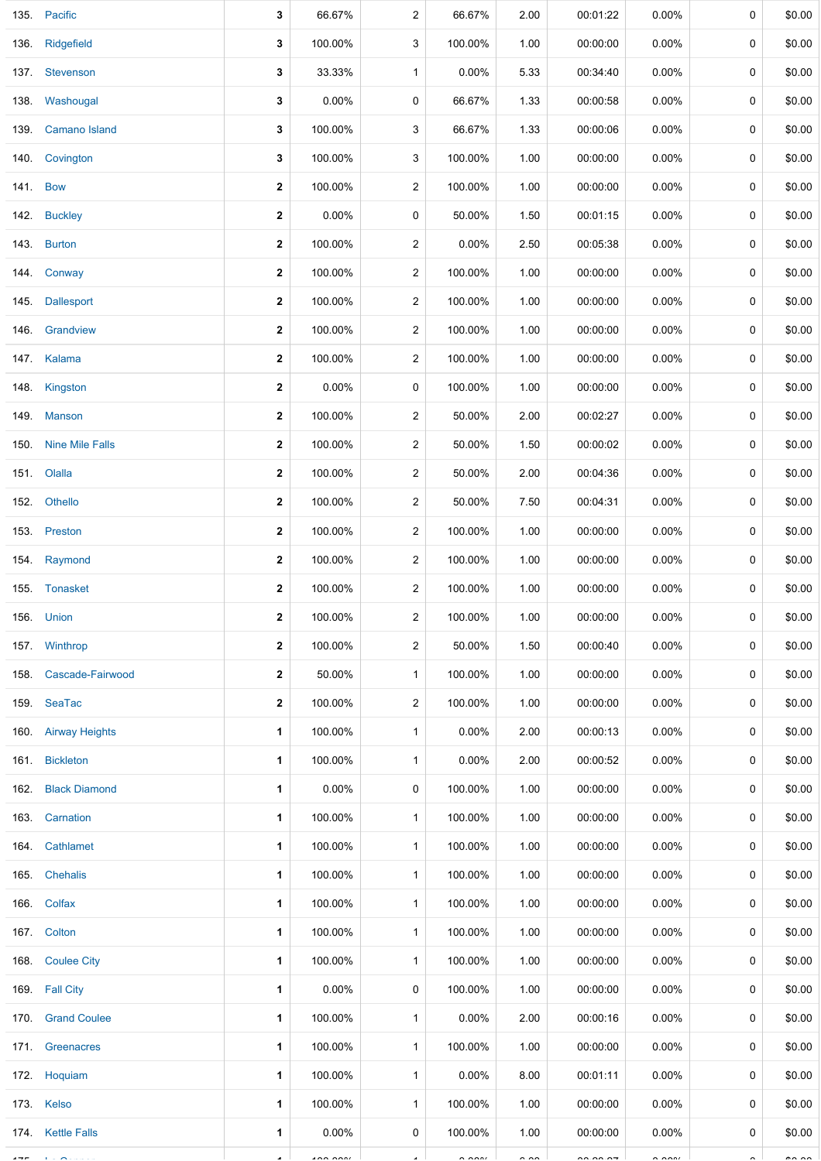| 135.     | Pacific                | 3                       | 66.67%   | 2                       | 66.67%               | 2.00          | 00:01:22 | 0.00%                | 0           | \$0.00        |
|----------|------------------------|-------------------------|----------|-------------------------|----------------------|---------------|----------|----------------------|-------------|---------------|
| 136.     | Ridgefield             | 3                       | 100.00%  | 3                       | 100.00%              | 1.00          | 00:00:00 | $0.00\%$             | 0           | \$0.00        |
|          | 137. Stevenson         | 3                       | 33.33%   | $\mathbf{1}$            | 0.00%                | 5.33          | 00:34:40 | 0.00%                | 0           | \$0.00        |
| 138.     | Washougal              | 3                       | 0.00%    | 0                       | 66.67%               | 1.33          | 00:00:58 | 0.00%                | 0           | \$0.00        |
| 139.     | <b>Camano Island</b>   | 3                       | 100.00%  | 3                       | 66.67%               | 1.33          | 00:00:06 | $0.00\%$             | 0           | \$0.00        |
| 140.     | Covington              | 3                       | 100.00%  | 3                       | 100.00%              | 1.00          | 00:00:00 | $0.00\%$             | 0           | \$0.00        |
| 141. Bow |                        | $\overline{\mathbf{2}}$ | 100.00%  | 2                       | 100.00%              | 1.00          | 00:00:00 | $0.00\%$             | 0           | \$0.00        |
|          | 142. Buckley           | $\overline{\mathbf{2}}$ | 0.00%    | 0                       | 50.00%               | 1.50          | 00:01:15 | $0.00\%$             | 0           | \$0.00        |
|          | 143. Burton            | $\overline{\mathbf{2}}$ | 100.00%  | 2                       | 0.00%                | 2.50          | 00:05:38 | $0.00\%$             | 0           | \$0.00        |
|          | 144. Conway            | $\overline{\mathbf{2}}$ | 100.00%  | 2                       | 100.00%              | 1.00          | 00:00:00 | 0.00%                | 0           | \$0.00        |
| 145.     | Dallesport             | $\overline{\mathbf{2}}$ | 100.00%  | 2                       | 100.00%              | 1.00          | 00:00:00 | 0.00%                | $\mathbf 0$ | \$0.00        |
| 146.     | Grandview              | 2                       | 100.00%  | 2                       | 100.00%              | 1.00          | 00:00:00 | $0.00\%$             | 0           | \$0.00        |
|          | 147. Kalama            | 2                       | 100.00%  | $\overline{\mathbf{c}}$ | 100.00%              | 1.00          | 00:00:00 | $0.00\%$             | 0           | \$0.00        |
| 148.     | Kingston               | $\overline{\mathbf{2}}$ | 0.00%    | 0                       | 100.00%              | 1.00          | 00:00:00 | $0.00\%$             | 0           | \$0.00        |
|          | 149. Manson            | 2                       | 100.00%  | 2                       | 50.00%               | 2.00          | 00:02:27 | 0.00%                | 0           | \$0.00        |
| 150.     | <b>Nine Mile Falls</b> | $\overline{\mathbf{2}}$ | 100.00%  | $\overline{\mathbf{c}}$ | 50.00%               | 1.50          | 00:00:02 | 0.00%                | 0           | \$0.00        |
|          | 151. Olalla            | $\overline{\mathbf{2}}$ | 100.00%  | 2                       | 50.00%               | 2.00          | 00:04:36 | $0.00\%$             | 0           | \$0.00        |
| 152.     | Othello                | $\overline{\mathbf{2}}$ | 100.00%  | 2                       | 50.00%               | 7.50          | 00:04:31 | 0.00%                | 0           | \$0.00        |
|          | 153. Preston           | 2                       | 100.00%  | 2                       | 100.00%              | 1.00          | 00:00:00 | 0.00%                | 0           | \$0.00        |
| 154.     | Raymond                | 2                       | 100.00%  | 2                       | 100.00%              | 1.00          | 00:00:00 | 0.00%                | 0           | \$0.00        |
|          | 155. Tonasket          | 2                       | 100.00%  | 2                       | 100.00%              | 1.00          | 00:00:00 | $0.00\%$             | 0           | \$0.00        |
|          | 156. Union             | 2                       | 100.00%  | 2                       | 100.00%              | 1.00          | 00:00:00 | $0.00\%$             | 0           | \$0.00        |
|          | 157. Winthrop          | $\mathbf{2}$            | 100.00%  | $\overline{2}$          | 50.00%               | 1.50          | 00:00:40 | $0.00\%$             | 0           | \$0.00        |
|          | 158. Cascade-Fairwood  | 2                       | 50.00%   | $\mathbf{1}$            | 100.00%              | 1.00          | 00:00:00 | $0.00\%$             | 0           | \$0.00        |
|          | 159. SeaTac            | 2                       | 100.00%  | 2                       | 100.00%              | 1.00          | 00:00:00 | $0.00\%$             | 0           | \$0.00        |
|          | 160. Airway Heights    | 1                       | 100.00%  | $\mathbf{1}$            | 0.00%                | 2.00          | 00:00:13 | $0.00\%$             | 0           | \$0.00        |
|          | 161. Bickleton         | 1                       | 100.00%  | $\mathbf{1}$            | 0.00%                | 2.00          | 00:00:52 | $0.00\%$             | 0           | \$0.00        |
|          | 162. Black Diamond     | 1.                      | $0.00\%$ | 0                       | 100.00%              | 1.00          | 00:00:00 | $0.00\%$             | 0           | \$0.00        |
|          | 163. Carnation         | 1                       | 100.00%  | $\mathbf{1}$            | 100.00%              | 1.00          | 00:00:00 | $0.00\%$             | 0           | \$0.00        |
|          | 164. Cathlamet         | 1                       | 100.00%  | $\mathbf{1}$            | 100.00%              | 1.00          | 00:00:00 | $0.00\%$             | 0           | \$0.00        |
|          | 165. Chehalis          | 1                       | 100.00%  | $\mathbf{1}$            | 100.00%              | 1.00          | 00:00:00 | $0.00\%$             | 0           | \$0.00        |
|          | 166. Colfax            | 1                       | 100.00%  | $\mathbf{1}$            | 100.00%              | 1.00          | 00:00:00 | $0.00\%$             | 0           | \$0.00        |
|          | 167. Colton            | 1                       | 100.00%  | $\mathbf{1}$            | 100.00%              | 1.00          | 00:00:00 | $0.00\%$             | 0           | \$0.00        |
|          | 168. Coulee City       | 1                       | 100.00%  | $\mathbf{1}$            | 100.00%              | 1.00          | 00:00:00 | $0.00\%$             | 0           | \$0.00        |
|          | 169 Fall City          | 1                       | $0.00\%$ | 0                       | 100.00%              | 1.00          | 00:00:00 | $0.00\%$             | 0           | \$0.00        |
|          | 170. Grand Coulee      | 1                       | 100.00%  | $\mathbf{1}$            | $0.00\%$             | 2.00          | 00:00:16 | $0.00\%$             | 0           | \$0.00        |
|          | 171. Greenacres        | 1                       | 100.00%  | $\mathbf{1}$            | 100.00%              | 1.00          | 00:00:00 | $0.00\%$             | 0           | \$0.00        |
|          | 172. Hoquiam           | 1                       | 100.00%  | $\mathbf{1}$            | 0.00%                | 8.00          | 00:01:11 | $0.00\%$             | 0           | \$0.00        |
|          | 173. Kelso             | 1                       | 100.00%  | $\mathbf{1}$            | 100.00%              | 1.00          | 00:00:00 | $0.00\%$             | 0           | \$0.00        |
|          | 174. Kettle Falls      | 1                       | $0.00\%$ | 0                       | 100.00%              | 1.00          | 00:00:00 | $0.00\%$             | 0           | \$0.00        |
| $- - -$  |                        |                         | $\cdots$ |                         | $\sim$ $\sim$ $\sim$ | $\sim$ $\sim$ | $-0.000$ | $\sim$ $\sim$ $\sim$ |             | $\sim$ $\sim$ |